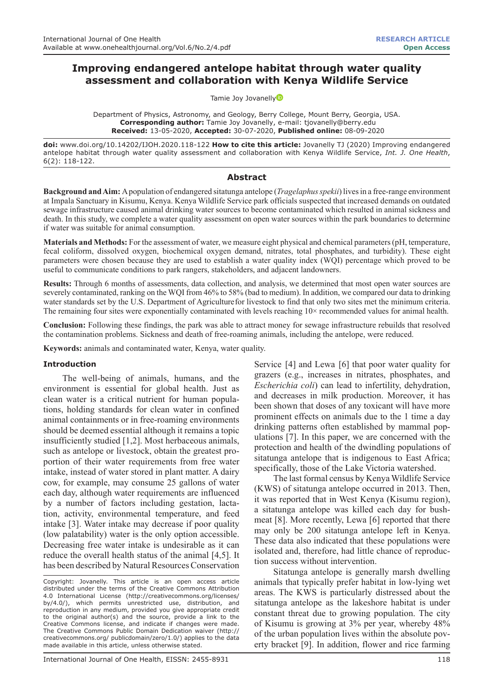# **Improving endangered antelope habitat through water quality assessment and collaboration with Kenya Wildlife Service**

Tamie Joy Jovanell[y](https://orcid.org/0000-0002-4374-0266)

Department of Physics, Astronomy, and Geology, Berry College, Mount Berry, Georgia, USA. **Corresponding author:** Tamie Joy Jovanelly, e-mail: tjovanelly@berry.edu **Received:** 13-05-2020, **Accepted:** 30-07-2020, **Published online:** 08-09-2020

**doi:** www.doi.org/10.14202/IJOH.2020.118-122 **How to cite this article:** Jovanelly TJ (2020) Improving endangered antelope habitat through water quality assessment and collaboration with Kenya Wildlife Service, *Int. J. One Health*, 6(2): 118-122.

#### **Abstract**

**Background and Aim:** A population of endangered sitatunga antelope (*Tragelaphus spekii*) lives in a free-range environment at Impala Sanctuary in Kisumu, Kenya. Kenya Wildlife Service park officials suspected that increased demands on outdated sewage infrastructure caused animal drinking water sources to become contaminated which resulted in animal sickness and death. In this study, we complete a water quality assessment on open water sources within the park boundaries to determine if water was suitable for animal consumption.

**Materials and Methods:** For the assessment of water, we measure eight physical and chemical parameters (pH, temperature, fecal coliform, dissolved oxygen, biochemical oxygen demand, nitrates, total phosphates, and turbidity). These eight parameters were chosen because they are used to establish a water quality index (WQI) percentage which proved to be useful to communicate conditions to park rangers, stakeholders, and adjacent landowners.

**Results:** Through 6 months of assessments, data collection, and analysis, we determined that most open water sources are severely contaminated, ranking on the WQI from 46% to 58% (bad to medium). In addition, we compared our data to drinking water standards set by the U.S. Department of Agriculturefor livestock to find that only two sites met the minimum criteria. The remaining four sites were exponentially contaminated with levels reaching 10× recommended values for animal health.

**Conclusion:** Following these findings, the park was able to attract money for sewage infrastructure rebuilds that resolved the contamination problems. Sickness and death of free-roaming animals, including the antelope, were reduced.

**Keywords:** animals and contaminated water, Kenya, water quality.

#### **Introduction**

The well-being of animals, humans, and the environment is essential for global health. Just as clean water is a critical nutrient for human populations, holding standards for clean water in confined animal containments or in free-roaming environments should be deemed essential although it remains a topic insufficiently studied [1,2]. Most herbaceous animals, such as antelope or livestock, obtain the greatest proportion of their water requirements from free water intake, instead of water stored in plant matter. A dairy cow, for example, may consume 25 gallons of water each day, although water requirements are influenced by a number of factors including gestation, lactation, activity, environmental temperature, and feed intake [3]. Water intake may decrease if poor quality (low palatability) water is the only option accessible. Decreasing free water intake is undesirable as it can reduce the overall health status of the animal [4,5]. It has been described by Natural Resources Conservation

Copyright: Jovanelly. This article is an open access article distributed under the terms of the Creative Commons Attribution 4.0 International License (http://creativecommons.org/licenses/ by/4.0/), which permits unrestricted use, distribution, and reproduction in any medium, provided you give appropriate credit to the original author(s) and the source, provide a link to the Creative Commons license, and indicate if changes were made. The Creative Commons Public Domain Dedication waiver (http:// creativecommons.org/ publicdomain/zero/1.0/) applies to the data made available in this article, unless otherwise stated.

Service  [4] and Lewa  [6] that poor water quality for grazers (e.g., increases in nitrates, phosphates, and *Escherichia coli*) can lead to infertility, dehydration, and decreases in milk production. Moreover, it has been shown that doses of any toxicant will have more prominent effects on animals due to the 1 time a day drinking patterns often established by mammal populations [7]. In this paper, we are concerned with the protection and health of the dwindling populations of sitatunga antelope that is indigenous to East Africa; specifically, those of the Lake Victoria watershed.

The last formal census by Kenya Wildlife Service (KWS) of sitatunga antelope occurred in 2013. Then, it was reported that in West Kenya (Kisumu region), a sitatunga antelope was killed each day for bushmeat [8]. More recently, Lewa [6] reported that there may only be 200 sitatunga antelope left in Kenya. These data also indicated that these populations were isolated and, therefore, had little chance of reproduction success without intervention.

Sitatunga antelope is generally marsh dwelling animals that typically prefer habitat in low-lying wet areas. The KWS is particularly distressed about the sitatunga antelope as the lakeshore habitat is under constant threat due to growing population. The city of Kisumu is growing at 3% per year, whereby 48% of the urban population lives within the absolute poverty bracket [9]. In addition, flower and rice farming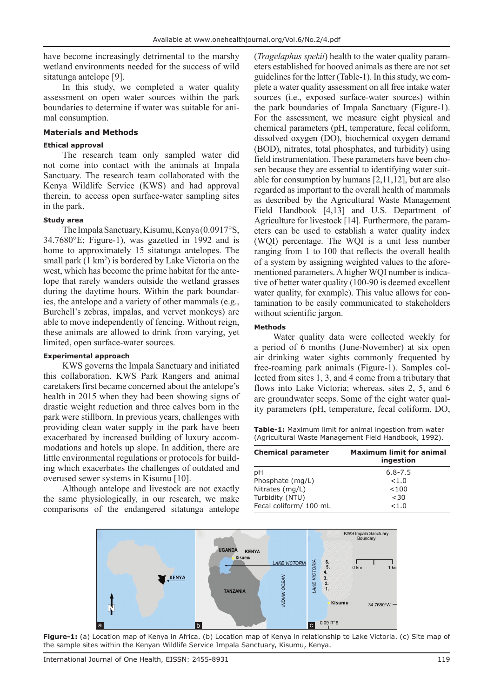have become increasingly detrimental to the marshy wetland environments needed for the success of wild sitatunga antelope [9].

In this study, we completed a water quality assessment on open water sources within the park boundaries to determine if water was suitable for animal consumption.

#### **Materials and Methods**

## **Ethical approval**

The research team only sampled water did not come into contact with the animals at Impala Sanctuary. The research team collaborated with the Kenya Wildlife Service (KWS) and had approval therein, to access open surface-water sampling sites in the park.

## **Study area**

The Impala Sanctuary, Kisumu, Kenya (0.0917°S, 34.7680°E; Figure-1), was gazetted in 1992 and is home to approximately 15 sitatunga antelopes. The small park (1 km<sup>2</sup>) is bordered by Lake Victoria on the west, which has become the prime habitat for the antelope that rarely wanders outside the wetland grasses during the daytime hours. Within the park boundaries, the antelope and a variety of other mammals (e.g., Burchell's zebras, impalas, and vervet monkeys) are able to move independently of fencing. Without reign, these animals are allowed to drink from varying, yet limited, open surface-water sources.

#### **Experimental approach**

KWS governs the Impala Sanctuary and initiated this collaboration. KWS Park Rangers and animal caretakers first became concerned about the antelope's health in 2015 when they had been showing signs of drastic weight reduction and three calves born in the park were stillborn. In previous years, challenges with providing clean water supply in the park have been exacerbated by increased building of luxury accommodations and hotels up slope. In addition, there are little environmental regulations or protocols for building which exacerbates the challenges of outdated and overused sewer systems in Kisumu [10].

Although antelope and livestock are not exactly the same physiologically, in our research, we make comparisons of the endangered sitatunga antelope

(*Tragelaphus spekii*) health to the water quality parameters established for hooved animals as there are not set guidelines for the latter (Table-1). In this study, we complete a water quality assessment on all free intake water sources (i.e., exposed surface-water sources) within the park boundaries of Impala Sanctuary (Figure-1). For the assessment, we measure eight physical and chemical parameters (pH, temperature, fecal coliform, dissolved oxygen (DO), biochemical oxygen demand (BOD), nitrates, total phosphates, and turbidity) using field instrumentation. These parameters have been chosen because they are essential to identifying water suitable for consumption by humans [2,11,12], but are also regarded as important to the overall health of mammals as described by the Agricultural Waste Management Field Handbook [4,13] and U.S. Department of Agriculture for livestock [14]. Furthermore, the parameters can be used to establish a water quality index (WQI) percentage. The WQI is a unit less number ranging from 1 to 100 that reflects the overall health of a system by assigning weighted values to the aforementioned parameters. A higher WQI number is indicative of better water quality (100-90 is deemed excellent water quality, for example). This value allows for contamination to be easily communicated to stakeholders without scientific jargon.

## **Methods**

Water quality data were collected weekly for a period of 6 months (June-November) at six open air drinking water sights commonly frequented by free-roaming park animals (Figure-1). Samples collected from sites 1, 3, and 4 come from a tributary that flows into Lake Victoria; whereas, sites 2, 5, and 6 are groundwater seeps. Some of the eight water quality parameters (pH, temperature, fecal coliform, DO,

**Table-1:** Maximum limit for animal ingestion from water (Agricultural Waste Management Field Handbook, 1992).

| <b>Chemical parameter</b> | <b>Maximum limit for animal</b><br>ingestion |
|---------------------------|----------------------------------------------|
| pH                        | $6.8 - 7.5$                                  |
| Phosphate (mg/L)          | < 1.0                                        |
| Nitrates (mg/L)           | < 100                                        |
| Turbidity (NTU)           | <30                                          |
| Fecal coliform/ 100 mL    | < 1.0                                        |



**Figure-1:** (a) Location map of Kenya in Africa. (b) Location map of Kenya in relationship to Lake Victoria. (c) Site map of the sample sites within the Kenyan Wildlife Service Impala Sanctuary, Kisumu, Kenya.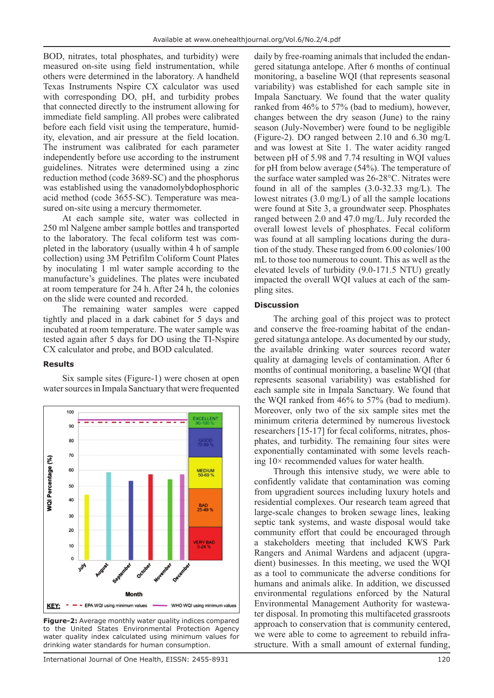BOD, nitrates, total phosphates, and turbidity) were measured on-site using field instrumentation, while others were determined in the laboratory. A handheld Texas Instruments Nspire CX calculator was used with corresponding DO, pH, and turbidity probes that connected directly to the instrument allowing for immediate field sampling. All probes were calibrated before each field visit using the temperature, humidity, elevation, and air pressure  at the field location. The instrument was calibrated for each parameter independently before use according to the instrument guidelines. Nitrates were determined using a zinc reduction method (code 3689-SC) and the phosphorus was established using the vanadomolybdophosphoric acid method (code 3655-SC). Temperature was measured on-site using a mercury thermometer.

At each sample site, water was collected in 250 ml Nalgene amber sample bottles and transported to the laboratory. The fecal coliform test was completed in the laboratory (usually within 4 h of sample collection) using 3M Petrifilm Coliform Count Plates by inoculating 1 ml water sample according to the manufacture's guidelines. The plates were incubated at room temperature for 24 h. After 24 h, the colonies on the slide were counted and recorded.

The remaining water samples were capped tightly and placed in a dark cabinet for 5 days and incubated at room temperature. The water sample was tested again after 5 days for DO using the TI-Nspire CX calculator and probe, and BOD calculated.

#### **Results**



Six sample sites (Figure-1) were chosen at open water sources in Impala Sanctuary that were frequented

**Figure-2:** Average monthly water quality indices compared to the United States Environmental Protection Agency water quality index calculated using minimum values for drinking water standards for human consumption.

daily by free-roaming animals that included the endangered sitatunga antelope. After 6 months of continual monitoring, a baseline WQI (that represents seasonal variability) was established for each sample site in Impala Sanctuary. We found that the water quality ranked from 46% to 57% (bad to medium), however, changes between the dry season (June) to the rainy season (July-November) were found to be negligible (Figure-2). DO ranged between 2.10 and 6.30 mg/L and was lowest at Site 1. The water acidity ranged between pH of 5.98 and 7.74 resulting in WQI values for pH from below average (54%). The temperature of the surface water sampled was 26-28°C. Nitrates were found in all of the samples (3.0-32.33 mg/L). The lowest nitrates (3.0 mg/L) of all the sample locations were found at Site 3, a groundwater seep. Phosphates ranged between 2.0 and 47.0 mg/L. July recorded the overall lowest levels of phosphates. Fecal coliform was found at all sampling locations during the duration of the study. These ranged from 6.00 colonies/100 mL to those too numerous to count. This as well as the elevated levels of turbidity (9.0-171.5 NTU) greatly impacted the overall WQI values at each of the sampling sites.

## **Discussion**

The arching goal of this project was to protect and conserve the free-roaming habitat of the endangered sitatunga antelope. As documented by our study, the available drinking water sources record water quality at damaging levels of contamination. After 6 months of continual monitoring, a baseline WQI (that represents seasonal variability) was established for each sample site in Impala Sanctuary. We found that the WQI ranked from 46% to 57% (bad to medium). Moreover, only two of the six sample sites met the minimum criteria determined by numerous livestock researchers [15-17] for fecal coliforms, nitrates, phosphates, and turbidity. The remaining four sites were exponentially contaminated with some levels reaching 10× recommended values for water health.

Through this intensive study, we were able to confidently validate that contamination was coming from upgradient sources including luxury hotels and residential complexes. Our research team agreed that large-scale changes to broken sewage lines, leaking septic tank systems, and waste disposal would take community effort that could be encouraged through a stakeholders meeting that included KWS Park Rangers and Animal Wardens and adjacent (upgradient) businesses. In this meeting, we used the WQI as a tool to communicate the adverse conditions for humans and animals alike. In addition, we discussed environmental regulations enforced by the Natural Environmental Management Authority for wastewater disposal. In promoting this multifaceted grassroots approach to conservation that is community centered, we were able to come to agreement to rebuild infrastructure. With a small amount of external funding,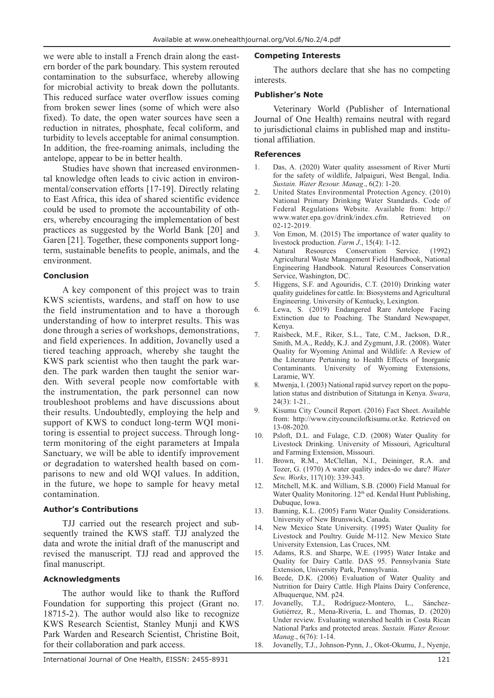we were able to install a French drain along the eastern border of the park boundary. This system rerouted contamination to the subsurface, whereby allowing for microbial activity to break down the pollutants. This reduced surface water overflow issues coming from broken sewer lines (some of which were also fixed). To date, the open water sources have seen a reduction in nitrates, phosphate, fecal coliform, and turbidity to levels acceptable for animal consumption. In addition, the free-roaming animals, including the antelope, appear to be in better health.

Studies have shown that increased environmental knowledge often leads to civic action in environmental/conservation efforts [17-19]. Directly relating to East Africa, this idea of shared scientific evidence could be used to promote the accountability of others, whereby encouraging the implementation of best practices as suggested by the World Bank [20] and Garen [21]. Together, these components support longterm, sustainable benefits to people, animals, and the environment.

#### **Conclusion**

A key component of this project was to train KWS scientists, wardens, and staff on how to use the field instrumentation and to have a thorough understanding of how to interpret results. This was done through a series of workshops, demonstrations, and field experiences. In addition, Jovanelly used a tiered teaching approach, whereby she taught the KWS park scientist who then taught the park warden. The park warden then taught the senior warden. With several people now comfortable with the instrumentation, the park personnel can now troubleshoot problems and have discussions about their results. Undoubtedly, employing the help and support of KWS to conduct long-term WQI monitoring is essential to project success. Through longterm monitoring of the eight parameters at Impala Sanctuary, we will be able to identify improvement or degradation to watershed health based on comparisons to new and old WQI values. In addition, in the future, we hope to sample for heavy metal contamination.

#### **Author's Contributions**

TJJ carried out the research project and subsequently trained the KWS staff. TJJ analyzed the data and wrote the initial draft of the manuscript and revised the manuscript. TJJ read and approved the final manuscript.

#### **Acknowledgments**

The author would like to thank the Rufford Foundation for supporting this project (Grant no. 18715-2 ). The author would also like to recognize KWS Research Scientist, Stanley Munji and KWS Park Warden and Research Scientist, Christine Boit, for their collaboration and park access.

#### **Competing Interests**

The authors declare that she has no competing interests.

#### **Publisher's Note**

Veterinary World (Publisher of International Journal of One Health) remains neutral with regard to jurisdictional claims in published map and institutional affiliation.

#### **References**

- Das, A. (2020) Water quality assessment of River Murti for the safety of wildlife, Jalpaiguri, West Bengal, India. *Sustain. Water Resour. Manag*., 6(2): 1-20.
- 2. United States Environmental Protection Agency. (2010) National Primary Drinking Water Standards. Code of Federal Regulations Website. Available from: http:// www.water.epa.gov/drink/index.cfm. Retrieved on 02-12-2019.
- 3. Von Emon, M. (2015) The importance of water quality to livestock production. *Farm J*., 15(4): 1-12.
- 4. Natural Resources Conservation Service. (1992) Agricultural Waste Management Field Handbook, National Engineering Handbook. Natural Resources Conservation Service, Washington, DC.
- 5. Higgens, S.F. and Agouridis, C.T. (2010) Drinking water quality guidelines for cattle. In: Biosystems and Agricultural Engineering. University of Kentucky, Lexington.
- 6. Lewa, S. (2019) Endangered Rare Antelope Facing Extinction due to Poaching. The Standard Newspaper, Kenya.
- 7. Raisbeck, M.F., Riker, S.L., Tate, C.M., Jackson, D.R., Smith, M.A., Reddy, K.J. and Zygmunt, J.R. (2008). Water Quality for Wyoming Animal and Wildlife: A Review of the Literature Pertaining to Health Effects of Inorganic Contaminants. University of Wyoming Extensions, Laramie, WY.
- 8. Mwenja, I. (2003) National rapid survey report on the population status and distribution of Sitatunga in Kenya. *Swara*, 24(3): 1-21..
- 9. Kisumu City Council Report. (2016) Fact Sheet. Available from: http://www.citycouncilofkisumu.or.ke. Retrieved on 13-08-2020.
- 10. Psloft, D.L. and Fulage, C.D. (2008) Water Quality for Livestock Drinking. University of Missouri, Agricultural and Farming Extension, Missouri.
- 11. Brown, R.M., McClellan, N.I., Deininger, R.A. and Tozer, G. (1970) A water quality index-do we dare? *Water Sew. Works*, 117(10): 339-343.
- 12. Mitchell, M.K. and William, S.B. (2000) Field Manual for Water Quality Monitoring. 12<sup>th</sup> ed. Kendal Hunt Publishing, Dubuque, Iowa.
- 13. Banning, K.L. (2005) Farm Water Quality Considerations. University of New Brunswick, Canada.
- 14. New Mexico State University. (1995) Water Quality for Livestock and Poultry. Guide M-112. New Mexico State University Extension, Las Cruces, NM.
- 15. Adams, R.S. and Sharpe, W.E. (1995) Water Intake and Quality for Dairy Cattle. DAS 95. Pennsylvania State Extension, University Park, Pennsylvania.
- 16. Beede, D.K. (2006) Evaluation of Water Quality and Nutrition for Dairy Cattle. High Plains Dairy Conference, Albuquerque, NM. p24.
- 17. Jovanelly, T.J., Rodríguez-Montero, L., Sánchez-Gutiérrez, R., Mena-Riveria, L. and Thomas, D . (2020) Under review. Evaluating watershed health in Costa Rican National Parks and protected areas. *Sustain. Water Resour. Manag*., 6(76): 1-14.
- 18. Jovanelly, T.J., Johnson-Pynn, J., Okot-Okumu, J., Nyenje,